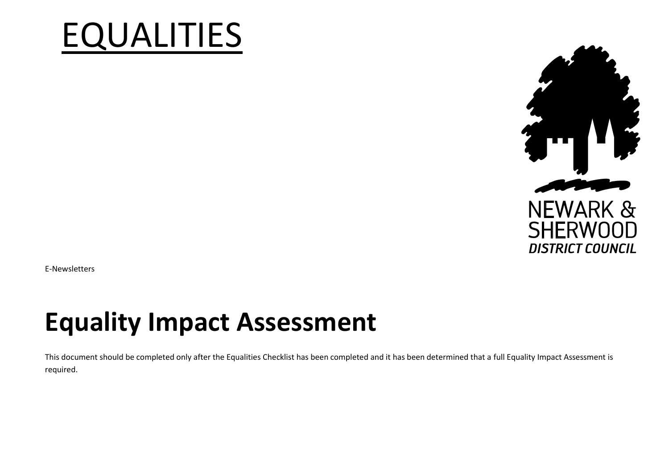# EQUALITIES



E-Newsletters

## **Equality Impact Assessment**

This document should be completed only after the Equalities Checklist has been completed and it has been determined that a full Equality Impact Assessment is required.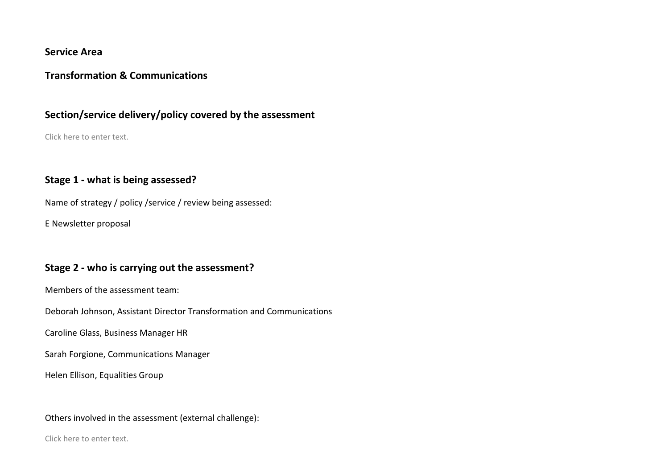#### **Service Area**

#### **Transformation & Communications**

#### **Section/service delivery/policy covered by the assessment**

Click here to enter text.

#### **Stage 1 - what is being assessed?**

Name of strategy / policy / service / review being assessed:

E Newsletter proposal

#### **Stage 2 - who is carrying out the assessment?**

Members of the assessment team:

Deborah Johnson, Assistant Director Transformation and Communications

Caroline Glass, Business Manager HR

Sarah Forgione, Communications Manager

Helen Ellison, Equalities Group

Others involved in the assessment (external challenge):

Click here to enter text.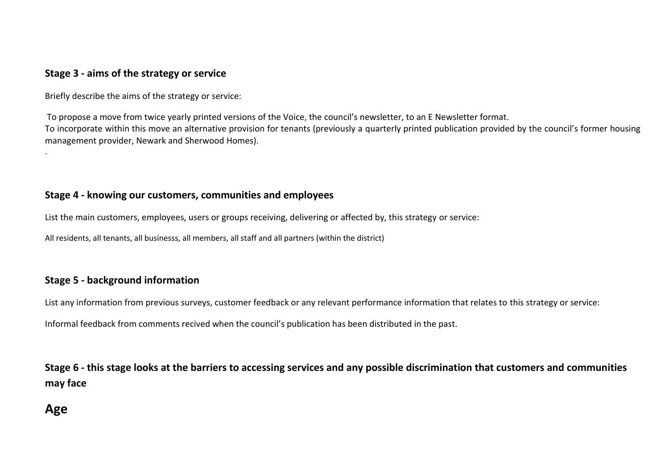#### **Stage 3 - aims of the strategy or service**

Briefly describe the aims of the strategy or service:

To propose a move from twice yearly printed versions of the Voice, the council's newsletter, to an E Newsletter format. To incorporate within this move an alternative provision for tenants (previously a quarterly printed publication provided by the council's former housing management provider, Newark and Sherwood Homes).

#### **Stage 4 - knowing our customers, communities and employees**

List the main customers, employees, users or groups receiving, delivering or affected by, this strategy or service:

All residents, all tenants, all businesss, all members, all staff and all partners (within the district)

#### **Stage 5 - background information**

List any information from previous surveys, customer feedback or any relevant performance information that relates to this strategy or service: Informal feedback from comments recived when the council's publication has been distributed in the past.

**Stage 6 - this stage looks at the barriers to accessing services and any possible discrimination that customers and communities may face**

## **Age**

.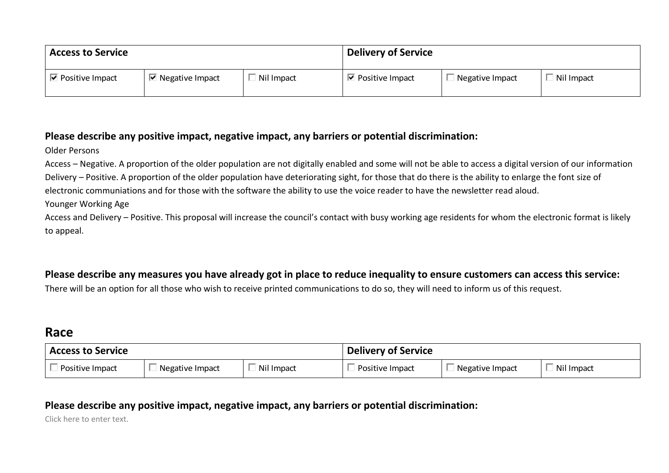| <b>Access to Service</b>        |                                | <b>Delivery of Service</b> |                                  |                        |            |
|---------------------------------|--------------------------------|----------------------------|----------------------------------|------------------------|------------|
| $\triangledown$ Positive Impact | $\blacksquare$ Negative Impact | Nil Impact                 | $\triangleright$ Positive Impact | $\Box$ Negative Impact | Nil Impact |

#### **Please describe any positive impact, negative impact, any barriers or potential discrimination:**

Older Persons

Access – Negative. A proportion of the older population are not digitally enabled and some will not be able to access a digital version of our information Delivery – Positive. A proportion of the older population have deteriorating sight, for those that do there is the ability to enlarge the font size of electronic communiations and for those with the software the ability to use the voice reader to have the newsletter read aloud.

Younger Working Age

Access and Delivery – Positive. This proposal will increase the council's contact with busy working age residents for whom the electronic format is likely to appeal.

#### **Please describe any measures you have already got in place to reduce inequality to ensure customers can access this service:**

There will be an option for all those who wish to receive printed communications to do so, they will need to inform us of this request.

## **Race**

| <b>Access to Service</b> |                 |            | <b>Delivery of Service</b> |                 |            |
|--------------------------|-----------------|------------|----------------------------|-----------------|------------|
| Positive Impact          | Negative Impact | Nil Impact | Positive Impact            | Negative Impact | Nil Impact |

### **Please describe any positive impact, negative impact, any barriers or potential discrimination:**

Click here to enter text.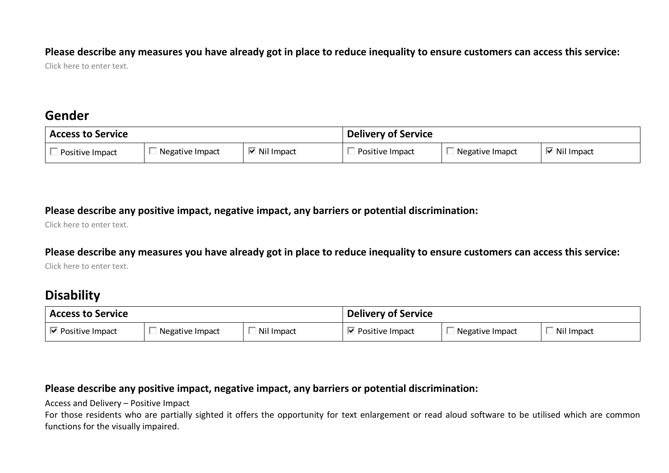#### **Please describe any measures you have already got in place to reduce inequality to ensure customers can access this service:**

Click here to enter text.

## **Gender**

| <b>Access to Service</b> |                 |                             | <b>Delivery of Service</b> |                 |                      |
|--------------------------|-----------------|-----------------------------|----------------------------|-----------------|----------------------|
| Positive Impact          | Negative Impact | $\triangleright$ Nil Impact | Positive Impact            | Negative Imapct | $\boxdot$ Nil Impact |

#### **Please describe any positive impact, negative impact, any barriers or potential discrimination:**

Click here to enter text.

#### **Please describe any measures you have already got in place to reduce inequality to ensure customers can access this service:**

Click here to enter text.

## **Disability**

| 'Access to Service |                 |            | <b>Delivery of Service</b> |                 |            |
|--------------------|-----------------|------------|----------------------------|-----------------|------------|
| Positive Impact    | Negative Impact | Nil Impact | Positive Impact            | Negative Impact | Nil Impact |

#### **Please describe any positive impact, negative impact, any barriers or potential discrimination:**

Access and Delivery – Positive Impact

For those residents who are partially sighted it offers the opportunity for text enlargement or read aloud software to be utilised which are common functions for the visually impaired.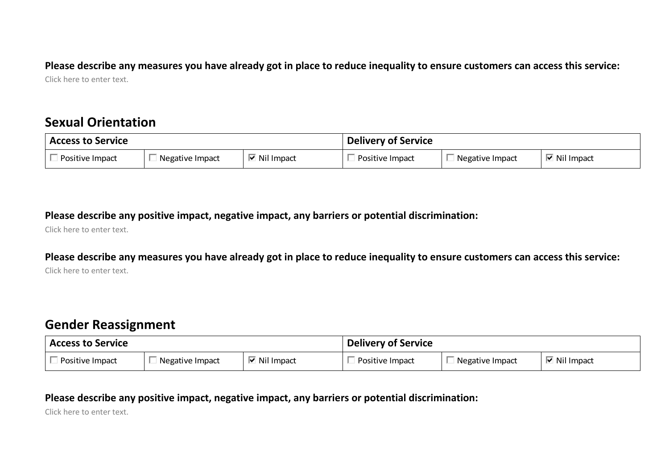#### **Please describe any measures you have already got in place to reduce inequality to ensure customers can access this service:** Click here to enter text.

## **Sexual Orientation**

| <b>Access to Service</b> |                 |                             | <b>Delivery of Service</b> |                 |                             |
|--------------------------|-----------------|-----------------------------|----------------------------|-----------------|-----------------------------|
| Positive Impact          | Negative Impact | $\triangleright$ Nil Impact | Positive Impact            | Negative Impact | $\triangleright$ Nil Impact |

**Please describe any positive impact, negative impact, any barriers or potential discrimination:**

Click here to enter text.

**Please describe any measures you have already got in place to reduce inequality to ensure customers can access this service:**

Click here to enter text.

## **Gender Reassignment**

| <b>Access to Service</b> |                 |                             | <b>Delivery of Service</b> |                 |                             |
|--------------------------|-----------------|-----------------------------|----------------------------|-----------------|-----------------------------|
| Positive Impact          | Negative Impact | $\triangleright$ Nil Impact | Positive Impact            | Negative Impact | $\triangleright$ Nil Impact |

#### **Please describe any positive impact, negative impact, any barriers or potential discrimination:**

Click here to enter text.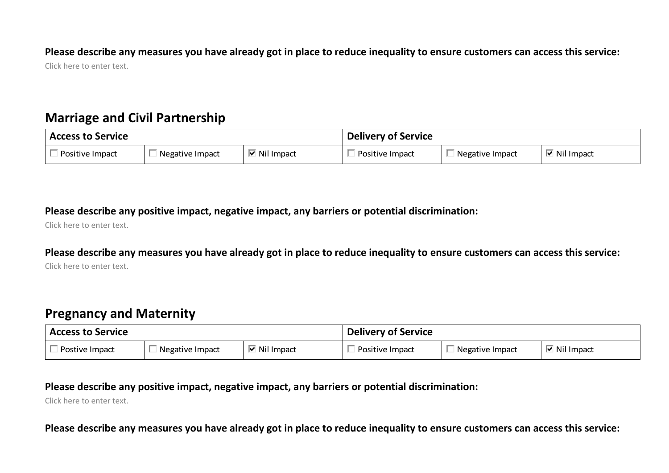**Please describe any measures you have already got in place to reduce inequality to ensure customers can access this service:**

Click here to enter text.

## **Marriage and Civil Partnership**

| <b>Access to Service</b> |                 |                             | <b>Delivery of Service</b> |                 |                             |
|--------------------------|-----------------|-----------------------------|----------------------------|-----------------|-----------------------------|
| Positive Impact          | Negative Impact | $\triangleright$ Nil Impact | Positive Impact            | Negative Impact | $\triangleright$ Nil Impact |

**Please describe any positive impact, negative impact, any barriers or potential discrimination:**

Click here to enter text.

**Please describe any measures you have already got in place to reduce inequality to ensure customers can access this service:** Click here to enter text.

## **Pregnancy and Maternity**

| <b>Access to Service</b> |                 |                             | <b>Delivery of Service</b> |                 |              |
|--------------------------|-----------------|-----------------------------|----------------------------|-----------------|--------------|
| Postive Impact           | Negative Impact | $\triangleright$ Nil Impact | Positive Impact            | Negative Impact | न Nil Impact |

#### **Please describe any positive impact, negative impact, any barriers or potential discrimination:**

Click here to enter text.

**Please describe any measures you have already got in place to reduce inequality to ensure customers can access this service:**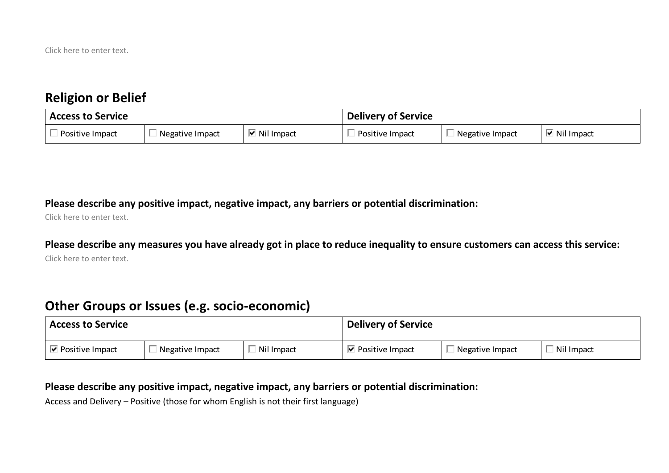## **Religion or Belief**

| <b>Access to Service</b> |                 |                             | <b>Delivery of Service</b> |                 |                     |
|--------------------------|-----------------|-----------------------------|----------------------------|-----------------|---------------------|
| Positive Impact          | Negative Impact | $\triangleright$ Nil Impact | Positive Impact            | Negative Impact | <b>☑</b> Nil Impact |

#### **Please describe any positive impact, negative impact, any barriers or potential discrimination:**

Click here to enter text.

#### **Please describe any measures you have already got in place to reduce inequality to ensure customers can access this service:**

Click here to enter text.

## **Other Groups or Issues (e.g. socio-economic)**

| <b>Access to Service</b>         |                 |            | <b>Delivery of Service</b>                |                 |            |
|----------------------------------|-----------------|------------|-------------------------------------------|-----------------|------------|
| $\triangleright$ Positive Impact | Negative Impact | Nil Impact | $\overline{\blacksquare}$ Positive Impact | Megative Impact | Nil Impact |

#### **Please describe any positive impact, negative impact, any barriers or potential discrimination:**

Access and Delivery – Positive (those for whom English is not their first language)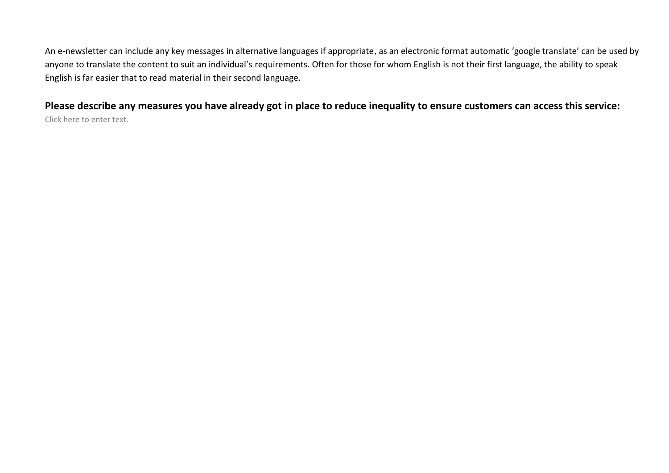An e-newsletter can include any key messages in alternative languages if appropriate, as an electronic format automatic 'google translate' can be used by anyone to translate the content to suit an individual's requirements. Often for those for whom English is not their first language, the ability to speak English is far easier that to read material in their second language.

**Please describe any measures you have already got in place to reduce inequality to ensure customers can access this service:** Click here to enter text.